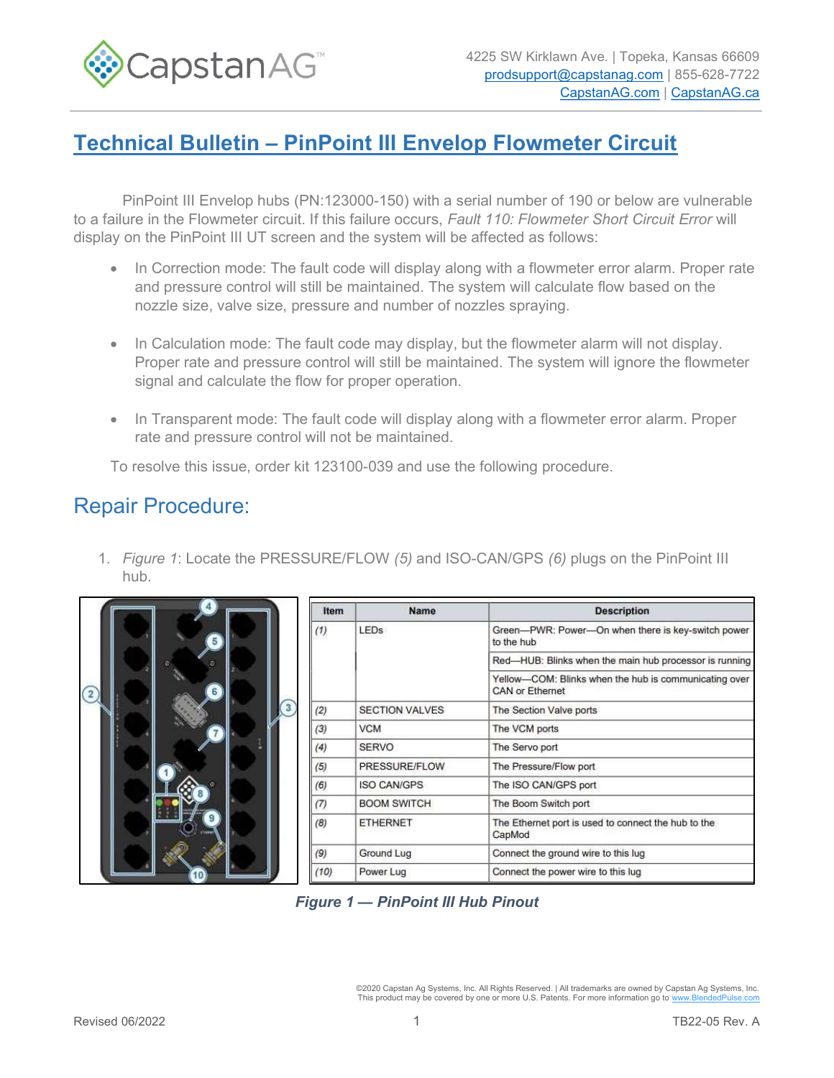

## Technical Bulletin – PinPoint III Envelop Flowmeter Circuit

PinPoint III Envelop hubs (PN:123000-150) with a serial number of 190 or below are vulnerable to a failure in the Flowmeter circuit. If this failure occurs, Fault 110: Flowmeter Short Circuit Error will display on the PinPoint III UT screen and the system will be affected as follows:

- In Correction mode: The fault code will display along with a flowmeter error alarm. Proper rate and pressure control will still be maintained. The system will calculate flow based on the nozzle size, valve size, pressure and number of nozzles spraying.
- In Calculation mode: The fault code may display, but the flowmeter alarm will not display. Proper rate and pressure control will still be maintained. The system will ignore the flowmeter signal and calculate the flow for proper operation.
- In Transparent mode: The fault code will display along with a flowmeter error alarm. Proper rate and pressure control will not be maintained.

To resolve this issue, order kit 123100-039 and use the following procedure.

## Repair Procedure:

1. Figure 1: Locate the PRESSURE/FLOW (5) and ISO-CAN/GPS (6) plugs on the PinPoint III hub.

|                | Item | <b>Name</b>           | <b>Description</b>                                                       |
|----------------|------|-----------------------|--------------------------------------------------------------------------|
| $\overline{2}$ | (1)  | <b>LEDs</b>           | Green-PWR: Power-On when there is key-switch power<br>to the hub         |
|                |      |                       | Red-HUB: Blinks when the main hub processor is running                   |
|                |      |                       | Yellow-COM: Blinks when the hub is communicating over<br>CAN or Ethernet |
|                | (2)  | <b>SECTION VALVES</b> | The Section Valve ports                                                  |
|                | (3)  | <b>VCM</b>            | The VCM ports                                                            |
|                | (4)  | <b>SERVO</b>          | The Servo port                                                           |
|                | (5)  | PRESSURE/FLOW         | The Pressure/Flow port                                                   |
|                | (6)  | <b>ISO CAN/GPS</b>    | The ISO CAN/GPS port                                                     |
|                | (7)  | <b>BOOM SWITCH</b>    | The Boom Switch port                                                     |
|                | (8)  | <b>ETHERNET</b>       | The Ethernet port is used to connect the hub to the<br>CapMod            |
|                | (9)  | Ground Lug            | Connect the ground wire to this lug                                      |
|                | (10) | Power Lug             | Connect the power wire to this lug                                       |

Figure 1 — PinPoint III Hub Pinout

©2020 Capstan Ag Systems, Inc. All Rights Reserved. | All trademarks are owned by Capstan Ag Systems, Inc. This product may be covered by one or more U.S. Patents. For more information go to www.BlendedPulse.com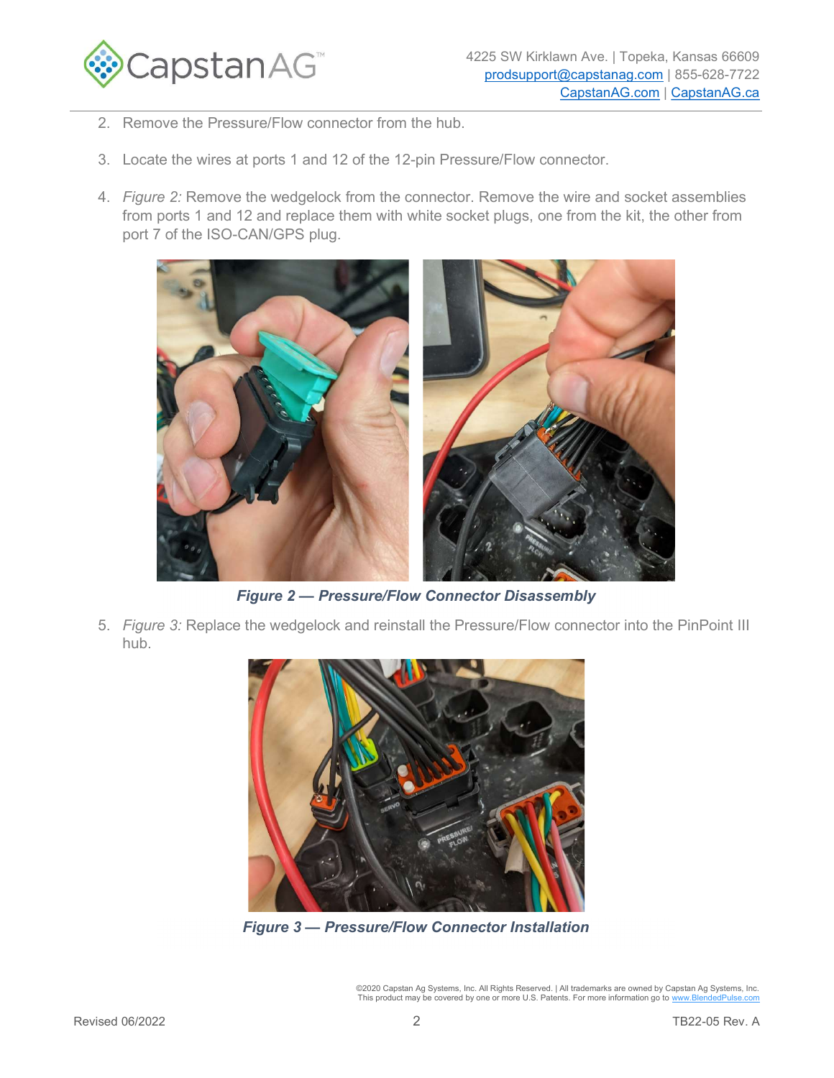

- 2. Remove the Pressure/Flow connector from the hub.
- 3. Locate the wires at ports 1 and 12 of the 12-pin Pressure/Flow connector.
- 4. Figure 2: Remove the wedgelock from the connector. Remove the wire and socket assemblies from ports 1 and 12 and replace them with white socket plugs, one from the kit, the other from port 7 of the ISO-CAN/GPS plug.



Figure 2 — Pressure/Flow Connector Disassembly

5. Figure 3: Replace the wedgelock and reinstall the Pressure/Flow connector into the PinPoint III hub.



Figure 3 — Pressure/Flow Connector Installation

©2020 Capstan Ag Systems, Inc. All Rights Reserved. | All trademarks are owned by Capstan Ag Systems, Inc.<br>This product may be covered by one or more U.S. Patents. For more information go to <u>www.BlendedPulse.com</u>